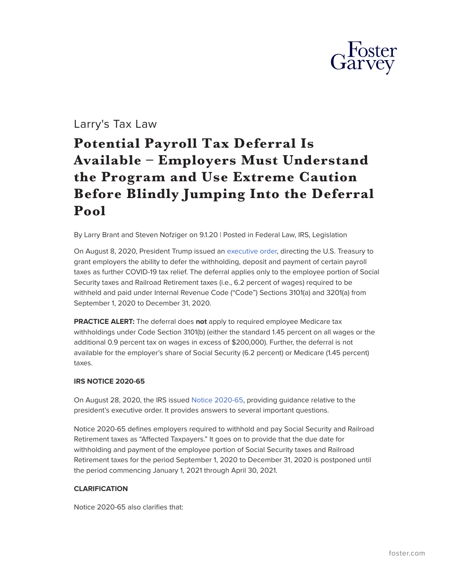

# Larry's Tax Law

# **Potential Payroll Tax Deferral Is Available – Employers Must Understand the Program and Use Extreme Caution Before Blindly Jumping Into the Deferral Pool**

By Larry Brant and Steven Nofziger on 9.1.20 | Posted in Federal Law, IRS, Legislation

On August 8, 2020, President Trump issued an [executive order,](https://www.federalregister.gov/documents/2020/08/13/2020-17899/deferring-payroll-tax-obligations-in-light-of-the-ongoing-covid-19-disaster) directing the U.S. Treasury to grant employers the ability to defer the withholding, deposit and payment of certain payroll taxes as further COVID-19 tax relief. The deferral applies only to the employee portion of Social Security taxes and Railroad Retirement taxes (i.e., 6.2 percent of wages) required to be withheld and paid under Internal Revenue Code ("Code") Sections 3101(a) and 3201(a) from September 1, 2020 to December 31, 2020.

**PRACTICE ALERT:** The deferral does **not** apply to required employee Medicare tax withholdings under Code Section 3101(b) (either the standard 1.45 percent on all wages or the additional 0.9 percent tax on wages in excess of \$200,000). Further, the deferral is not available for the employer's share of Social Security (6.2 percent) or Medicare (1.45 percent) taxes.

### **IRS NOTICE 2020-65**

On August 28, 2020, the IRS issued [Notice 2020-65,](https://www.irs.gov/pub/irs-drop/n-20-65.pdf) providing guidance relative to the president's executive order. It provides answers to several important questions.

Notice 2020-65 defines employers required to withhold and pay Social Security and Railroad Retirement taxes as "Affected Taxpayers." It goes on to provide that the due date for withholding and payment of the employee portion of Social Security taxes and Railroad Retirement taxes for the period September 1, 2020 to December 31, 2020 is postponed until the period commencing January 1, 2021 through April 30, 2021.

# **CLARIFICATION**

Notice 2020-65 also clarifies that: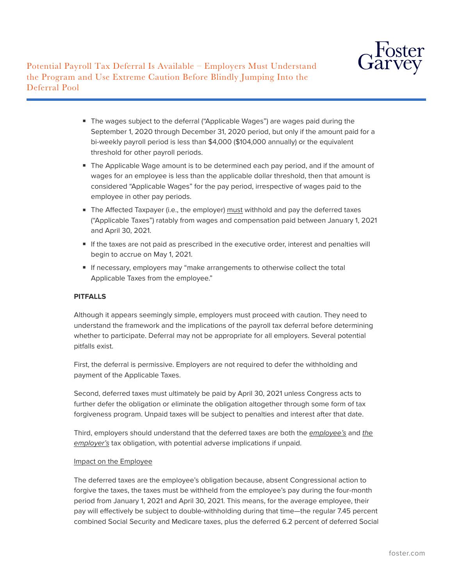

Potential Payroll Tax Deferral Is Available – Employers Must Understand the Program and Use Extreme Caution Before Blindly Jumping Into the Deferral Pool

- The wages subject to the deferral ("Applicable Wages") are wages paid during the September 1, 2020 through December 31, 2020 period, but only if the amount paid for a bi-weekly payroll period is less than \$4,000 (\$104,000 annually) or the equivalent threshold for other payroll periods.
- The Applicable Wage amount is to be determined each pay period, and if the amount of wages for an employee is less than the applicable dollar threshold, then that amount is considered "Applicable Wages" for the pay period, irrespective of wages paid to the employee in other pay periods.
- The Affected Taxpayer (i.e., the employer) must withhold and pay the deferred taxes ("Applicable Taxes") ratably from wages and compensation paid between January 1, 2021 and April 30, 2021.
- If the taxes are not paid as prescribed in the executive order, interest and penalties will begin to accrue on May 1, 2021.
- If necessary, employers may "make arrangements to otherwise collect the total Applicable Taxes from the employee."

# **PITFALLS**

Although it appears seemingly simple, employers must proceed with caution. They need to understand the framework and the implications of the payroll tax deferral before determining whether to participate. Deferral may not be appropriate for all employers. Several potential pitfalls exist.

First, the deferral is permissive. Employers are not required to defer the withholding and payment of the Applicable Taxes.

Second, deferred taxes must ultimately be paid by April 30, 2021 unless Congress acts to further defer the obligation or eliminate the obligation altogether through some form of tax forgiveness program. Unpaid taxes will be subject to penalties and interest after that date.

Third, employers should understand that the deferred taxes are both the *employee's* and *the employer's* tax obligation, with potential adverse implications if unpaid.

# Impact on the Employee

The deferred taxes are the employee's obligation because, absent Congressional action to forgive the taxes, the taxes must be withheld from the employee's pay during the four-month period from January 1, 2021 and April 30, 2021. This means, for the average employee, their pay will effectively be subject to double-withholding during that time—the regular 7.45 percent combined Social Security and Medicare taxes, plus the deferred 6.2 percent of deferred Social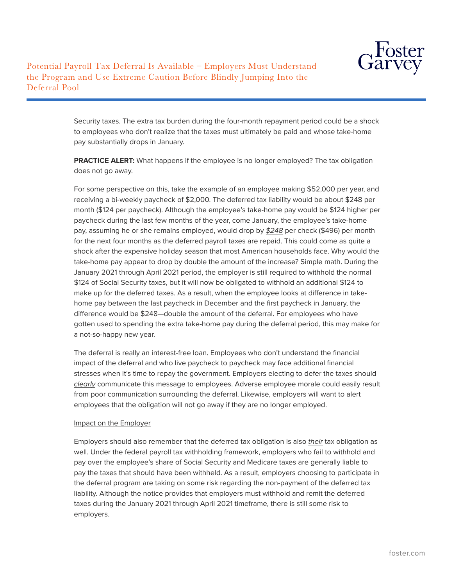

Security taxes. The extra tax burden during the four-month repayment period could be a shock to employees who don't realize that the taxes must ultimately be paid and whose take-home pay substantially drops in January.

**PRACTICE ALERT:** What happens if the employee is no longer employed? The tax obligation does not go away.

For some perspective on this, take the example of an employee making \$52,000 per year, and receiving a bi-weekly paycheck of \$2,000. The deferred tax liability would be about \$248 per month (\$124 per paycheck). Although the employee's take-home pay would be \$124 higher per paycheck during the last few months of the year, come January, the employee's take-home pay, assuming he or she remains employed, would drop by *\$248* per check (\$496) per month for the next four months as the deferred payroll taxes are repaid. This could come as quite a shock after the expensive holiday season that most American households face. Why would the take-home pay appear to drop by double the amount of the increase? Simple math. During the January 2021 through April 2021 period, the employer is still required to withhold the normal \$124 of Social Security taxes, but it will now be obligated to withhold an additional \$124 to make up for the deferred taxes. As a result, when the employee looks at difference in takehome pay between the last paycheck in December and the first paycheck in January, the difference would be \$248—double the amount of the deferral. For employees who have gotten used to spending the extra take-home pay during the deferral period, this may make for a not-so-happy new year.

The deferral is really an interest-free loan. Employees who don't understand the financial impact of the deferral and who live paycheck to paycheck may face additional financial stresses when it's time to repay the government. Employers electing to defer the taxes should *clearly* communicate this message to employees. Adverse employee morale could easily result from poor communication surrounding the deferral. Likewise, employers will want to alert employees that the obligation will not go away if they are no longer employed.

# Impact on the Employer

Employers should also remember that the deferred tax obligation is also *their* tax obligation as well. Under the federal payroll tax withholding framework, employers who fail to withhold and pay over the employee's share of Social Security and Medicare taxes are generally liable to pay the taxes that should have been withheld. As a result, employers choosing to participate in the deferral program are taking on some risk regarding the non-payment of the deferred tax liability. Although the notice provides that employers must withhold and remit the deferred taxes during the January 2021 through April 2021 timeframe, there is still some risk to employers.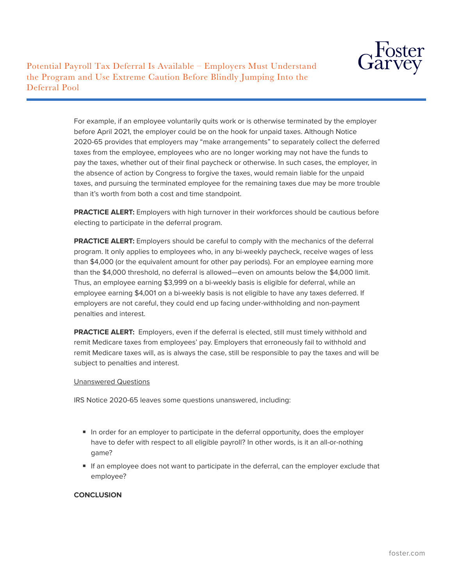

Potential Payroll Tax Deferral Is Available – Employers Must Understand the Program and Use Extreme Caution Before Blindly Jumping Into the Deferral Pool

> For example, if an employee voluntarily quits work or is otherwise terminated by the employer before April 2021, the employer could be on the hook for unpaid taxes. Although Notice 2020-65 provides that employers may "make arrangements" to separately collect the deferred taxes from the employee, employees who are no longer working may not have the funds to pay the taxes, whether out of their final paycheck or otherwise. In such cases, the employer, in the absence of action by Congress to forgive the taxes, would remain liable for the unpaid taxes, and pursuing the terminated employee for the remaining taxes due may be more trouble than it's worth from both a cost and time standpoint.

> **PRACTICE ALERT:** Employers with high turnover in their workforces should be cautious before electing to participate in the deferral program.

**PRACTICE ALERT:** Employers should be careful to comply with the mechanics of the deferral program. It only applies to employees who, in any bi-weekly paycheck, receive wages of less than \$4,000 (or the equivalent amount for other pay periods). For an employee earning more than the \$4,000 threshold, no deferral is allowed—even on amounts below the \$4,000 limit. Thus, an employee earning \$3,999 on a bi-weekly basis is eligible for deferral, while an employee earning \$4,001 on a bi-weekly basis is not eligible to have any taxes deferred. If employers are not careful, they could end up facing under-withholding and non-payment penalties and interest.

**PRACTICE ALERT:** Employers, even if the deferral is elected, still must timely withhold and remit Medicare taxes from employees' pay. Employers that erroneously fail to withhold and remit Medicare taxes will, as is always the case, still be responsible to pay the taxes and will be subject to penalties and interest.

### Unanswered Questions

IRS Notice 2020-65 leaves some questions unanswered, including:

- In order for an employer to participate in the deferral opportunity, does the employer have to defer with respect to all eligible payroll? In other words, is it an all-or-nothing game?
- If an employee does not want to participate in the deferral, can the employer exclude that employee?

## **CONCLUSION**